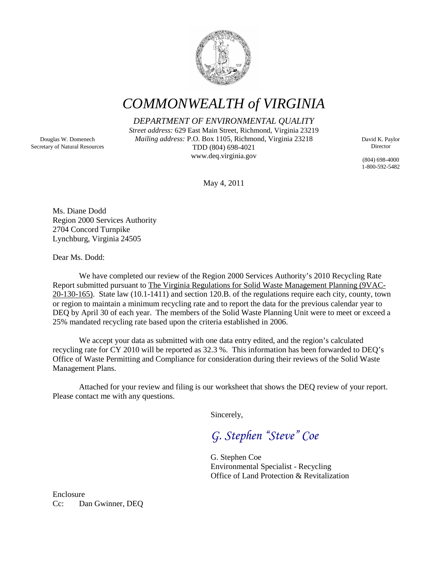

## *COMMONWEALTH of VIRGINIA*

*DEPARTMENT OF ENVIRONMENTAL QUALITY*

*Street address:* 629 East Main Street, Richmond, Virginia 23219 *Mailing address:* P.O. Box 1105, Richmond, Virginia 23218 TDD (804) 698-4021 www.deq.virginia.gov

David K. Paylor Director

(804) 698-4000 1-800-592-5482

May 4, 2011

Ms. Diane Dodd Region 2000 Services Authority 2704 Concord Turnpike Lynchburg, Virginia 24505

Dear Ms. Dodd:

We have completed our review of the Region 2000 Services Authority's 2010 Recycling Rate Report submitted pursuant to The Virginia Regulations for Solid Waste Management Planning (9VAC-20-130-165). State law (10.1-1411) and section 120.B. of the regulations require each city, county, town or region to maintain a minimum recycling rate and to report the data for the previous calendar year to DEQ by April 30 of each year. The members of the Solid Waste Planning Unit were to meet or exceed a 25% mandated recycling rate based upon the criteria established in 2006.

We accept your data as submitted with one data entry edited, and the region's calculated recycling rate for CY 2010 will be reported as 32.3 %. This information has been forwarded to DEQ's Office of Waste Permitting and Compliance for consideration during their reviews of the Solid Waste Management Plans.

Attached for your review and filing is our worksheet that shows the DEQ review of your report. Please contact me with any questions.

Sincerely,

*G. Stephen "Steve" Coe*

G. Stephen Coe Environmental Specialist - Recycling Office of Land Protection & Revitalization

Enclosure Cc: Dan Gwinner, DEQ

Douglas W. Domenech Secretary of Natural Resources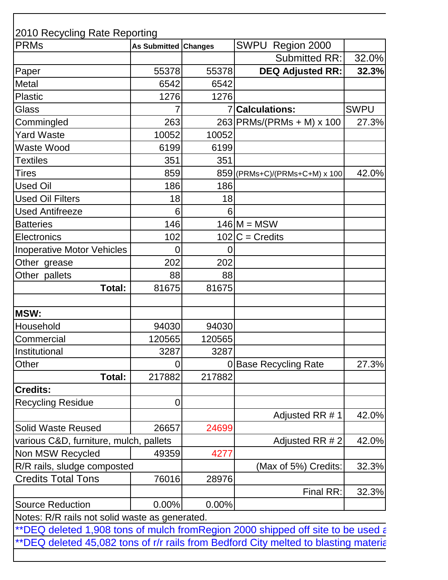| <b>PRMs</b>                                                                     | As Submitted Changes |        | SWPU Region 2000                                                                    |             |
|---------------------------------------------------------------------------------|----------------------|--------|-------------------------------------------------------------------------------------|-------------|
|                                                                                 |                      |        | <b>Submitted RR:</b>                                                                | 32.0%       |
| Paper                                                                           | 55378                | 55378  | <b>DEQ Adjusted RR:</b>                                                             | 32.3%       |
| Metal                                                                           | 6542                 | 6542   |                                                                                     |             |
| <b>Plastic</b>                                                                  | 1276                 | 1276   |                                                                                     |             |
| Glass                                                                           |                      |        | <b>Calculations:</b>                                                                | <b>SWPU</b> |
| Commingled                                                                      | 263                  |        | 263 PRMs/(PRMs + M) x 100                                                           | 27.3%       |
| <b>Yard Waste</b>                                                               | 10052                | 10052  |                                                                                     |             |
| Waste Wood                                                                      | 6199                 | 6199   |                                                                                     |             |
| Textiles                                                                        | 351                  | 351    |                                                                                     |             |
| Tires                                                                           | 859                  |        | 859 (PRMs+C)/(PRMs+C+M) x 100                                                       | 42.0%       |
| Used Oil                                                                        | 186                  | 186    |                                                                                     |             |
| <b>Used Oil Filters</b>                                                         | 18                   | 18     |                                                                                     |             |
| <b>Used Antifreeze</b>                                                          | 6                    | 6      |                                                                                     |             |
| <b>Batteries</b>                                                                | 146                  |        | $146$ M = MSW                                                                       |             |
| Electronics                                                                     | 102                  |        | $102$ C = Credits                                                                   |             |
| <b>Inoperative Motor Vehicles</b>                                               | 0                    | 0      |                                                                                     |             |
| Other grease                                                                    | 202                  | 202    |                                                                                     |             |
| Other pallets                                                                   | 88                   | 88     |                                                                                     |             |
| Total:                                                                          | 81675                | 81675  |                                                                                     |             |
| <b>MSW:</b>                                                                     |                      |        |                                                                                     |             |
| Household                                                                       | 94030                | 94030  |                                                                                     |             |
| Commercial                                                                      | 120565               | 120565 |                                                                                     |             |
| Institutional                                                                   | 3287                 | 3287   |                                                                                     |             |
| Other                                                                           | 0                    | 0      | <b>Base Recycling Rate</b>                                                          | 27.3%       |
| Total:                                                                          | 217882               | 217882 |                                                                                     |             |
| <b>Credits:</b>                                                                 |                      |        |                                                                                     |             |
| <b>Recycling Residue</b>                                                        | $\mathbf 0$          |        |                                                                                     |             |
|                                                                                 |                      |        | Adjusted RR # 1                                                                     | 42.0%       |
| <b>Solid Waste Reused</b>                                                       | 26657                | 24699  |                                                                                     |             |
| various C&D, furniture, mulch, pallets                                          |                      |        | Adjusted RR # 2                                                                     | 42.0%       |
| Non MSW Recycled                                                                | 49359                | 4277   |                                                                                     |             |
| R/R rails, sludge composted                                                     |                      |        | (Max of 5%) Credits:                                                                | 32.3%       |
| <b>Credits Total Tons</b>                                                       | 76016                | 28976  |                                                                                     |             |
|                                                                                 |                      |        | Final RR:                                                                           | 32.3%       |
| <b>Source Reduction</b>                                                         | 0.00%                | 0.00%  |                                                                                     |             |
| Notes: R/R rails not solid waste as generated.                                  |                      |        |                                                                                     |             |
| **DEQ deleted 1,908 tons of mulch fromRegion 2000 shipped off site to be used a |                      |        |                                                                                     |             |
|                                                                                 |                      |        | **DEQ deleted 45,082 tons of r/r rails from Bedford City melted to blasting materia |             |